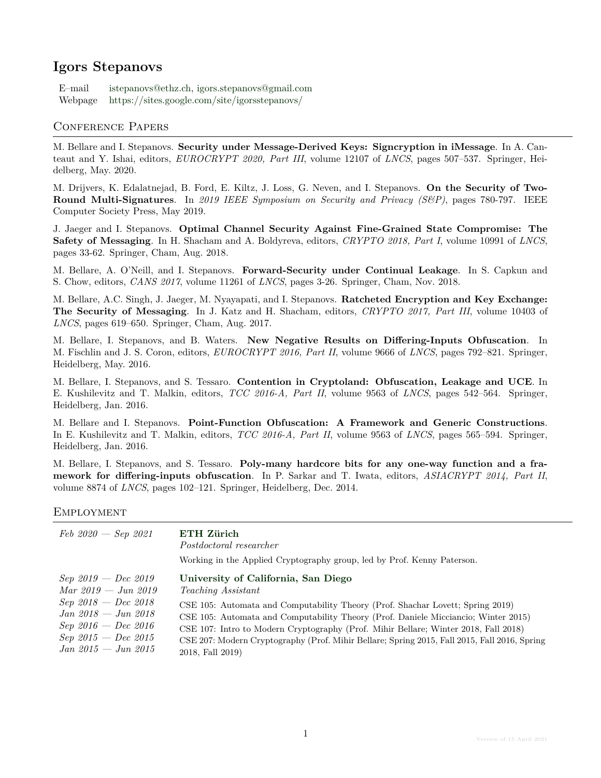# **Igors Stepanovs**

E–mail [istepanovs@ethz.ch,](mailto:istepanovs@ethz.ch) [igors.stepanovs@gmail.com](mailto:igors.stepanovs@gmail.com) Webpage <https://sites.google.com/site/igorsstepanovs/>

#### Conference Papers

M. Bellare and I. Stepanovs. **Security under Message-Derived Keys: Signcryption in iMessage**. In A. Canteaut and Y. Ishai, editors, *EUROCRYPT 2020, Part III*, volume 12107 of *LNCS*, pages 507–537. Springer, Heidelberg, May. 2020.

M. Drijvers, K. Edalatnejad, B. Ford, E. Kiltz, J. Loss, G. Neven, and I. Stepanovs. **On the Security of Two-Round Multi-Signatures**. In *2019 IEEE Symposium on Security and Privacy (S&P)*, pages 780-797. IEEE Computer Society Press, May 2019.

J. Jaeger and I. Stepanovs. **Optimal Channel Security Against Fine-Grained State Compromise: The Safety of Messaging**. In H. Shacham and A. Boldyreva, editors, *CRYPTO 2018, Part I*, volume 10991 of *LNCS*, pages 33-62. Springer, Cham, Aug. 2018.

M. Bellare, A. O'Neill, and I. Stepanovs. **Forward-Security under Continual Leakage**. In S. Capkun and S. Chow, editors, *CANS 2017*, volume 11261 of *LNCS*, pages 3-26. Springer, Cham, Nov. 2018.

M. Bellare, A.C. Singh, J. Jaeger, M. Nyayapati, and I. Stepanovs. **Ratcheted Encryption and Key Exchange: The Security of Messaging**. In J. Katz and H. Shacham, editors, *CRYPTO 2017, Part III*, volume 10403 of *LNCS*, pages 619–650. Springer, Cham, Aug. 2017.

M. Bellare, I. Stepanovs, and B. Waters. **New Negative Results on Differing-Inputs Obfuscation**. In M. Fischlin and J. S. Coron, editors, *EUROCRYPT 2016, Part II*, volume 9666 of *LNCS*, pages 792–821. Springer, Heidelberg, May. 2016.

M. Bellare, I. Stepanovs, and S. Tessaro. **Contention in Cryptoland: Obfuscation, Leakage and UCE**. In E. Kushilevitz and T. Malkin, editors, *TCC 2016-A, Part II*, volume 9563 of *LNCS*, pages 542–564. Springer, Heidelberg, Jan. 2016.

M. Bellare and I. Stepanovs. **Point-Function Obfuscation: A Framework and Generic Constructions**. In E. Kushilevitz and T. Malkin, editors, *TCC 2016-A, Part II*, volume 9563 of *LNCS*, pages 565–594. Springer, Heidelberg, Jan. 2016.

M. Bellare, I. Stepanovs, and S. Tessaro. **Poly-many hardcore bits for any one-way function and a framework for differing-inputs obfuscation**. In P. Sarkar and T. Iwata, editors, *ASIACRYPT 2014, Part II*, volume 8874 of *LNCS*, pages 102–121. Springer, Heidelberg, Dec. 2014.

#### **EMPLOYMENT**

| $Feb\ 2020 - Sep\ 2021$ | ETH Zürich<br>Postdoctoral researcher<br>Working in the Applied Cryptography group, led by Prof. Kenny Paterson. |
|-------------------------|------------------------------------------------------------------------------------------------------------------|
| $Sep\;2019 - Dec\;2019$ | University of California, San Diego                                                                              |
| $Mar 2019 - Jun 2019$   | <i>Teaching Assistant</i>                                                                                        |
| $Sep\;2018 - Dec\;2018$ | CSE 105: Automata and Computability Theory (Prof. Shachar Lovett; Spring 2019)                                   |
| $Jan\ 2018 - Jun\ 2018$ | CSE 105: Automata and Computability Theory (Prof. Daniele Micciancio; Winter 2015)                               |
| $Sep\;2016 - Dec\;2016$ | CSE 107: Intro to Modern Cryptography (Prof. Mihir Bellare; Winter 2018, Fall 2018)                              |
| $Sep\;2015 - Dec\;2015$ | CSE 207: Modern Cryptography (Prof. Mihir Bellare; Spring 2015, Fall 2015, Fall 2016, Spring                     |
| $Jan\ 2015 - Jun\ 2015$ | 2018, Fall 2019)                                                                                                 |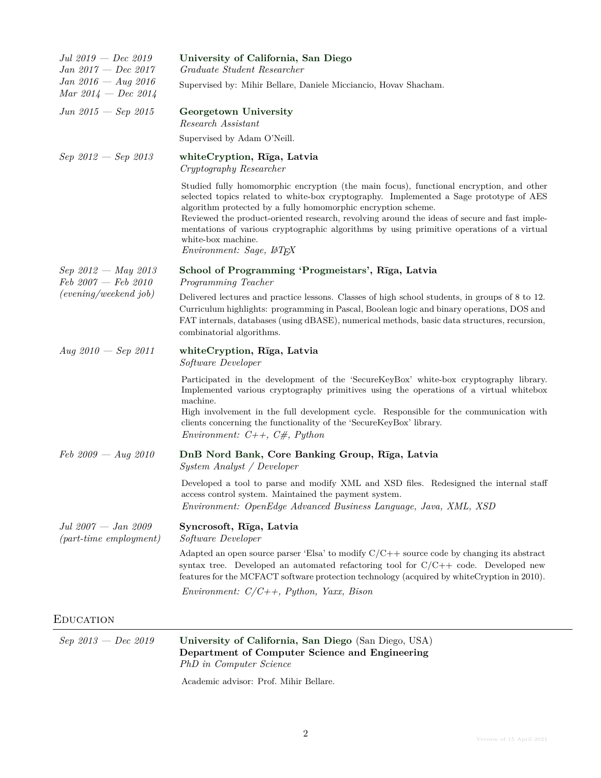| $Jul\ 2019 - Dec\ 2019$<br>$Jan 2017 - Dec 2017$                           | University of California, San Diego<br>Graduate Student Researcher                                                                                                                                                                                                                                                                                                                                                                                                                                |
|----------------------------------------------------------------------------|---------------------------------------------------------------------------------------------------------------------------------------------------------------------------------------------------------------------------------------------------------------------------------------------------------------------------------------------------------------------------------------------------------------------------------------------------------------------------------------------------|
| $Jan 2016 - Aug 2016$<br>Mar $2014 - Dec 2014$                             | Supervised by: Mihir Bellare, Daniele Micciancio, Hovav Shacham.                                                                                                                                                                                                                                                                                                                                                                                                                                  |
| $Jun\ 2015\, - \, Sep\ 2015$                                               | Georgetown University<br>Research Assistant                                                                                                                                                                                                                                                                                                                                                                                                                                                       |
|                                                                            | Supervised by Adam O'Neill.                                                                                                                                                                                                                                                                                                                                                                                                                                                                       |
| $Sep\;2012\;-\;Sep\;2013$                                                  | whiteCryption, Rīga, Latvia<br>Cryptography Researcher                                                                                                                                                                                                                                                                                                                                                                                                                                            |
|                                                                            | Studied fully homomorphic encryption (the main focus), functional encryption, and other<br>selected topics related to white-box cryptography. Implemented a Sage prototype of AES<br>algorithm protected by a fully homomorphic encryption scheme.<br>Reviewed the product-oriented research, revolving around the ideas of secure and fast imple-<br>mentations of various cryptographic algorithms by using primitive operations of a virtual<br>white-box machine.<br>Environment: Sage, LATFX |
| $Sep\;2012$ - May 2013<br>$Feb\ 2007 - Feb\ 2010$<br>(evening/weekend job) | School of Programming 'Progmeistars', Rīga, Latvia<br>Programming Teacher                                                                                                                                                                                                                                                                                                                                                                                                                         |
|                                                                            | Delivered lectures and practice lessons. Classes of high school students, in groups of 8 to 12.<br>Curriculum highlights: programming in Pascal, Boolean logic and binary operations, DOS and<br>FAT internals, databases (using dBASE), numerical methods, basic data structures, recursion,<br>combinatorial algorithms.                                                                                                                                                                        |
| Aug $2010 - Sep$ 2011                                                      | whiteCryption, Rīga, Latvia<br>Software Developer                                                                                                                                                                                                                                                                                                                                                                                                                                                 |
|                                                                            | Participated in the development of the 'SecureKeyBox' white-box cryptography library.<br>Implemented various cryptography primitives using the operations of a virtual whitebox<br>machine.<br>High involvement in the full development cycle. Responsible for the communication with<br>clients concerning the functionality of the 'SecureKeyBox' library.<br><i>Environment:</i> $C++$ , $C#$ , <i>Python</i>                                                                                  |
|                                                                            |                                                                                                                                                                                                                                                                                                                                                                                                                                                                                                   |
| $Feb\ 2009 - Aug\ 2010$                                                    | DnB Nord Bank, Core Banking Group, Rīga, Latvia<br><i>System Analyst / Developer</i>                                                                                                                                                                                                                                                                                                                                                                                                              |
|                                                                            | Developed a tool to parse and modify XML and XSD files. Redesigned the internal staff<br>access control system. Maintained the payment system.<br>Environment: OpenEdge Advanced Business Language, Java, XML, XSD                                                                                                                                                                                                                                                                                |
| $Jul\ 2007 - Jan\ 2009$<br>${\rm (part-time \; employment)}$               | Syncrosoft, Rīga, Latvia<br>Software Developer                                                                                                                                                                                                                                                                                                                                                                                                                                                    |
|                                                                            | Adapted an open source parser 'Elsa' to modify $C/C++$ source code by changing its abstract<br>syntax tree. Developed an automated refactoring tool for $C/C++$ code. Developed new<br>features for the MCFACT software protection technology (acquired by whiteCryption in 2010).                                                                                                                                                                                                                |
|                                                                            | Environment: $C/C++$ , Python, Yaxx, Bison                                                                                                                                                                                                                                                                                                                                                                                                                                                        |
| <b>EDUCATION</b>                                                           |                                                                                                                                                                                                                                                                                                                                                                                                                                                                                                   |
|                                                                            |                                                                                                                                                                                                                                                                                                                                                                                                                                                                                                   |

*Sep 2013 — Dec 2019* **[University of California, San Diego](http://www.ucsd.edu/)** (San Diego, USA) **Department of Computer Science and Engineering** *PhD in Computer Science*

Academic advisor: Prof. Mihir Bellare.